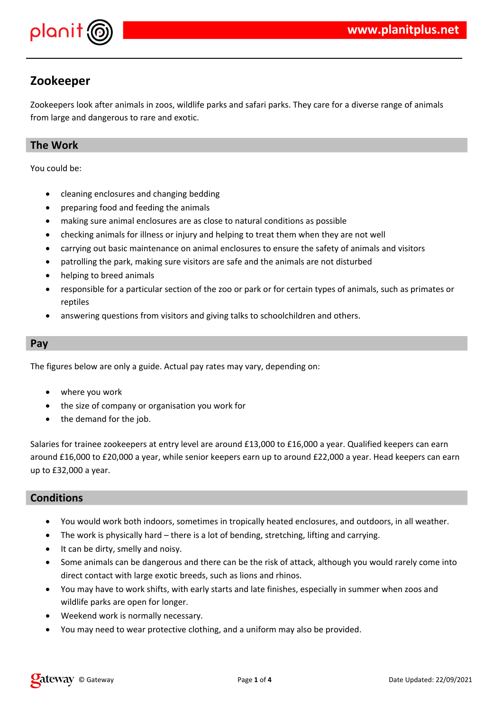

## **Zookeeper**

Zookeepers look after animals in zoos, wildlife parks and safari parks. They care for a diverse range of animals from large and dangerous to rare and exotic.

### **The Work**

You could be:

- cleaning enclosures and changing bedding
- preparing food and feeding the animals
- making sure animal enclosures are as close to natural conditions as possible
- checking animals for illness or injury and helping to treat them when they are not well
- carrying out basic maintenance on animal enclosures to ensure the safety of animals and visitors
- patrolling the park, making sure visitors are safe and the animals are not disturbed
- helping to breed animals
- responsible for a particular section of the zoo or park or for certain types of animals, such as primates or reptiles
- answering questions from visitors and giving talks to schoolchildren and others.

#### **Pay**

The figures below are only a guide. Actual pay rates may vary, depending on:

- where you work
- the size of company or organisation you work for
- the demand for the job.

Salaries for trainee zookeepers at entry level are around £13,000 to £16,000 a year. Qualified keepers can earn around £16,000 to £20,000 a year, while senior keepers earn up to around £22,000 a year. Head keepers can earn up to £32,000 a year.

#### **Conditions**

- You would work both indoors, sometimes in tropically heated enclosures, and outdoors, in all weather.
- The work is physically hard there is a lot of bending, stretching, lifting and carrying.
- It can be dirty, smelly and noisy.
- Some animals can be dangerous and there can be the risk of attack, although you would rarely come into direct contact with large exotic breeds, such as lions and rhinos.
- You may have to work shifts, with early starts and late finishes, especially in summer when zoos and wildlife parks are open for longer.
- Weekend work is normally necessary.
- You may need to wear protective clothing, and a uniform may also be provided.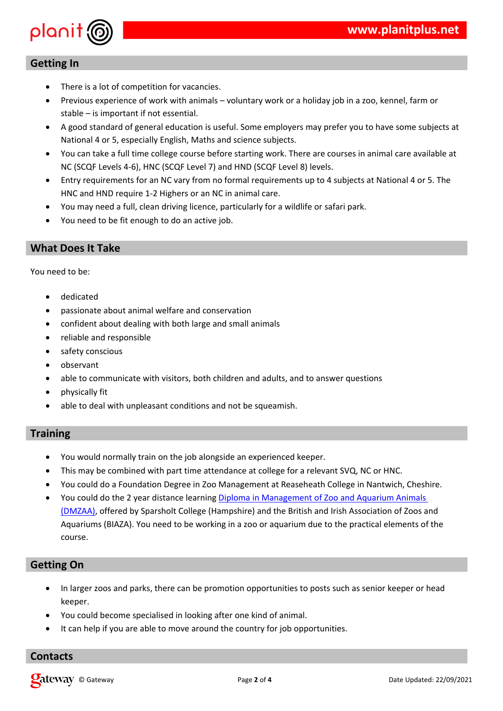$\Gamma^0$  .  $$$  # #  $#$  $\frac{1}{2}$  % & # "  $\mathfrak{D}$  %  $\blacksquare$  $\left( \begin{array}{c} 1 \end{array} \right)$  $(2)$ +<br>  $\frac{9\% + 96}{5}$ , % \$ %() #<br>  $\frac{1}{5}$  6 # 89 " # #%() #<br>  $\frac{1}{5}$  # %# \$ (<br>
5 : ;,:0 < = \$ 6 > / ? = 1\$5@ ? · 0 = . . 0 : . money in the set of the set of the set of the set of the set of the set of the set of the set 5: ;,: $0 < 5$  6>/? = 1\$5@ ?,: $0/5$  ;,: $0 < 4$ \$? 8 \*% \$: \*% % 6 %() # 65 7!<br>15: 15 \*% > 1 " 5: #  $1\%$  % # \$ # # #%<br> $1\%$  ( % " # \$ (

 $9/6$  $\overline{a}$ 

> $#$  $( %)$  $#$  \$  $\left($   $\right)$   $\right)$  $#$  $( %)$  $\sqrt{2}$  $\left($  $# \frac{9}{6}$  $#$  $\frac{1}{2}$  $\overline{(}$  $\%$  $%$  # " \$ "#"  $*96$  $\overline{(}$  $#$  $\left($  $\bar{\mathbf{u}}$  $#$  $(* \times 9)$  " % "  $#$  $\overline{ }$

 $\begin{array}{cccc} \cdot & \frac{9}{6} & \frac{9}{6} & & \cdots & \frac{1}{6} \\ \cdot & \cdot & \cdot & \cdot & \cdot & \cdot \\ \cdot & \cdot & \cdot & \cdot & \cdot & \cdot \\ \cdot & \cdot & \cdot & \cdot & \cdot & \cdot \\ \cdot & \cdot & \cdot & \cdot & \cdot & \cdot \\ \end{array}$  $#$  $#$  $\updownarrow$  , BO  $5:$  $\begin{array}{ccccccccccc}\n&96\# & 96\# & 126\# & 146\# & 146\# & 146\# & 146\# & 146\# & 146\# & 146\# & 146\# & 146\# & 146\# & 146\# & 146\# & 146\# & 146\# & 146\# & 146\# & 146\# & 146\# & 146\# & 146\# & 146\# & 146\# & 146\# & 146\# & 146\# & 146\# & 146\# & 1$ C " " : 5  $\#$  " : " "  $+ * 96$  $\%$  $+$  $#$  $+$  \* % % ; D 3 + + ? ( %  $\sim$   $\,$   $\,$   $\,$  $*$  % %  $\frac{9}{6}$  #  $#$ #  $%$ 

 $\mathbf{u}$ 

 $($  "  $\#$  $\%$  $3<sup>1</sup>$  $%#$  "

 $\frac{9}{6}$  # %  $($  #  $#$ 

 $3 \#$  "%  $($  \$ % # %  $($  %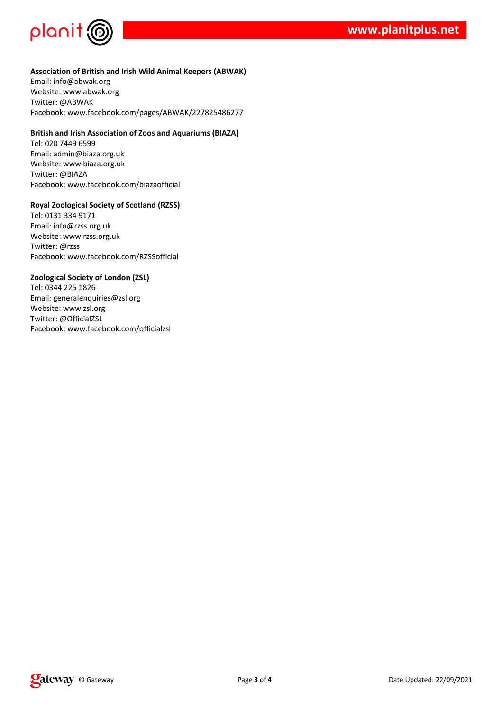



#### **Association of British and Irish Wild Animal Keepers (ABWAK)**

Email: info@abwak.org Website: www.abwak.org Twitter: @ABWAK Facebook: www.facebook.com/pages/ABWAK/227825486277

#### **British and Irish Association of Zoos and Aquariums (BIAZA)**

Tel: 020 7449 6599 Email: admin@biaza.org.uk Website: www.biaza.org.uk Twitter: @BIAZA Facebook: www.facebook.com/biazaofficial

#### **Royal Zoological Society of Scotland (RZSS)**

Tel: 0131 334 9171 Email: info@rzss.org.uk Website: www.rzss.org.uk Twitter: @rzss Facebook: www.facebook.com/RZSSofficial

#### **Zoological Society of London (ZSL)**

Tel: 0344 225 1826 Email: generalenquiries@zsl.org Website: www.zsl.org Twitter: @OfficialZSL Facebook: www.facebook.com/officialzsl